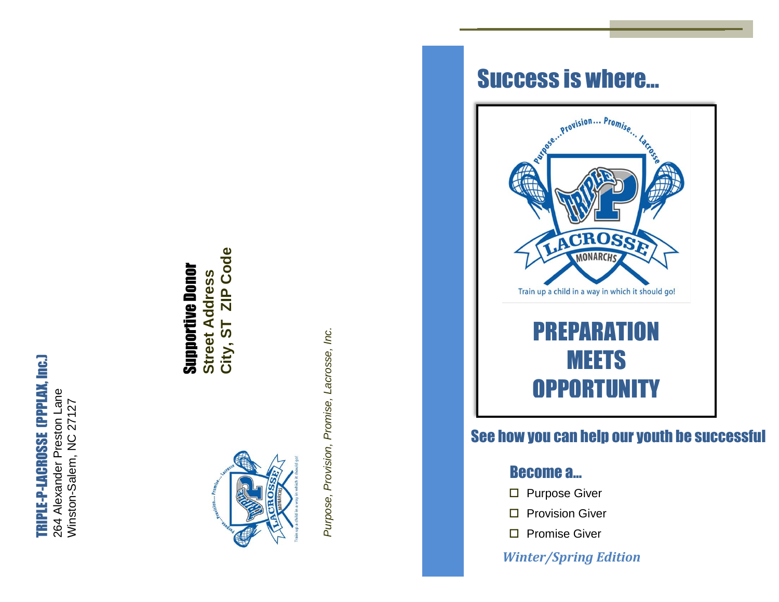# TRIPLE-P-LACROSSE (PPPLAX, Inc.) TRIPLE-P-LACROSSE (PPPLAX, Inc.)

264 Alexander Preston Lane 264 Alexander Preston Lane Winston-Salem, NC 27127 Winston-Salem, NC 27127

# ZIP Code **City, ST ZIP Code** Supportive Donor **Supportive Donor Street Address Street Address** City, ST



Purpose, Provision, Promise, Lacrosse, Inc. *Purpose, Provision, Promise, Lacrosse, Inc.*

# Success is where…



# See how you can help our youth be successful

# **Become a... Become a** would be successful with be successful with be successful with be successful with be successful with  $\mathbf{a}$

- $\square$  Purpose Giver
- $\square$  Provision Giver
- □ Promise Giver

# *Winter/Spring Edition*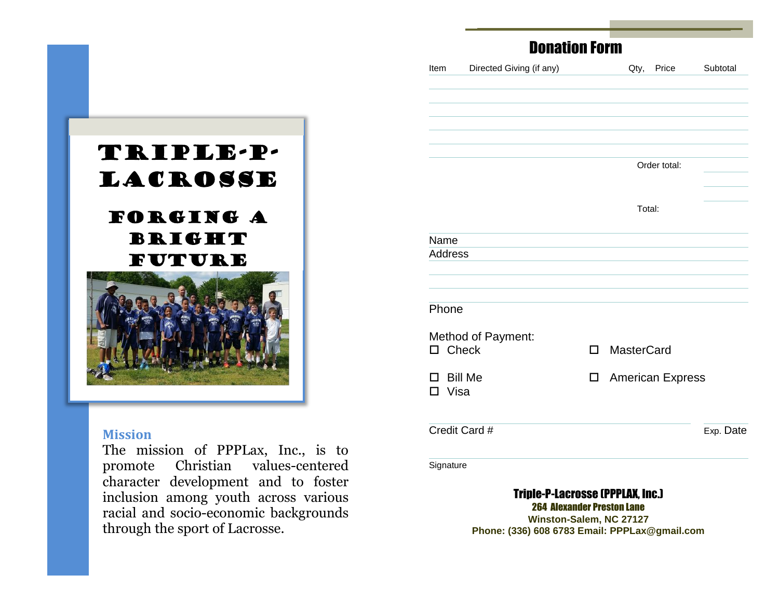

## **Mission**

The mission of PPPLax, Inc., is to promote Christian values-centered character development and to foster inclusion among youth across various racial and socio-economic backgrounds through the sport of Lacrosse.

|                   | <b>Donation Form</b>                                                                                                                                     |                    |              |           |
|-------------------|----------------------------------------------------------------------------------------------------------------------------------------------------------|--------------------|--------------|-----------|
| Item              | Directed Giving (if any)                                                                                                                                 | Qty,               | Price        | Subtotal  |
|                   |                                                                                                                                                          |                    |              |           |
|                   |                                                                                                                                                          |                    |              |           |
|                   |                                                                                                                                                          |                    |              |           |
|                   |                                                                                                                                                          |                    | Order total: |           |
|                   |                                                                                                                                                          |                    |              |           |
|                   |                                                                                                                                                          | Total:             |              |           |
| Name              |                                                                                                                                                          |                    |              |           |
| <b>Address</b>    |                                                                                                                                                          |                    |              |           |
|                   |                                                                                                                                                          |                    |              |           |
| Phone             |                                                                                                                                                          |                    |              |           |
|                   | Method of Payment:                                                                                                                                       |                    |              |           |
| $\square$ Check   |                                                                                                                                                          | □ MasterCard       |              |           |
| $\square$ Bill Me |                                                                                                                                                          | □ American Express |              |           |
| $\square$ Visa    |                                                                                                                                                          |                    |              |           |
|                   | Credit Card #                                                                                                                                            |                    |              | Exp. Date |
| Signature         |                                                                                                                                                          |                    |              |           |
|                   | <b>Triple-P-Lacrosse (PPPLAX, Inc.)</b><br><b>264 Alexander Preston Lane</b><br>Winston-Salem, NC 27127<br>Phone: (336) 608 6783 Email: PPPLax@qmail.com |                    |              |           |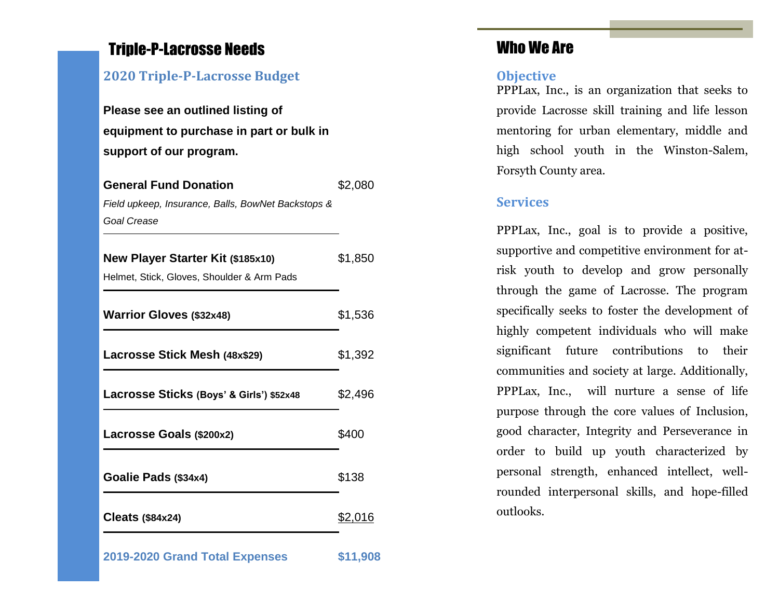# Triple-P-Lacrosse Needs

# **2020 Triple-P-Lacrosse Budget**

**Please see an outlined listing of equipment to purchase in part or bulk in support of our program.**

| <b>General Fund Donation</b>                       | \$2,080        |  |
|----------------------------------------------------|----------------|--|
| Field upkeep, Insurance, Balls, BowNet Backstops & |                |  |
| <b>Goal Crease</b>                                 |                |  |
|                                                    |                |  |
| New Player Starter Kit (\$185x10)                  | \$1,850        |  |
| Helmet, Stick, Gloves, Shoulder & Arm Pads         |                |  |
|                                                    |                |  |
| <b>Warrior Gloves (\$32x48)</b>                    | \$1,536        |  |
|                                                    |                |  |
| Lacrosse Stick Mesh (48x\$29)                      | \$1,392        |  |
|                                                    | \$2,496        |  |
| Lacrosse Sticks (Boys' & Girls') \$52x48           |                |  |
| Lacrosse Goals (\$200x2)                           | \$400          |  |
|                                                    |                |  |
| Goalie Pads (\$34x4)                               | \$138          |  |
|                                                    |                |  |
| Cleats $($84x24)$                                  | <u>\$2,016</u> |  |
|                                                    |                |  |
| 2019-2020 Grand Total Expenses                     | \$11,908       |  |

# Who We Are

### **Objective**

PPPLax, Inc., is an organization that seeks to provide Lacrosse skill training and life lesson mentoring for urban elementary, middle and high school youth in the Winston-Salem, Forsyth County area.

## **Services**

PPPLax, Inc., goal is to provide a positive, supportive and competitive environment for atrisk youth to develop and grow personally through the game of Lacrosse. The program specifically seeks to foster the development of highly competent individuals who will make significant future contributions to their communities and society at large. Additionally, PPPLax, Inc., will nurture a sense of life purpose through the core values of Inclusion, good character, Integrity and Perseverance in order to build up youth characterized by personal strength, enhanced intellect, wellrounded interpersonal skills, and hope-filled outlooks.